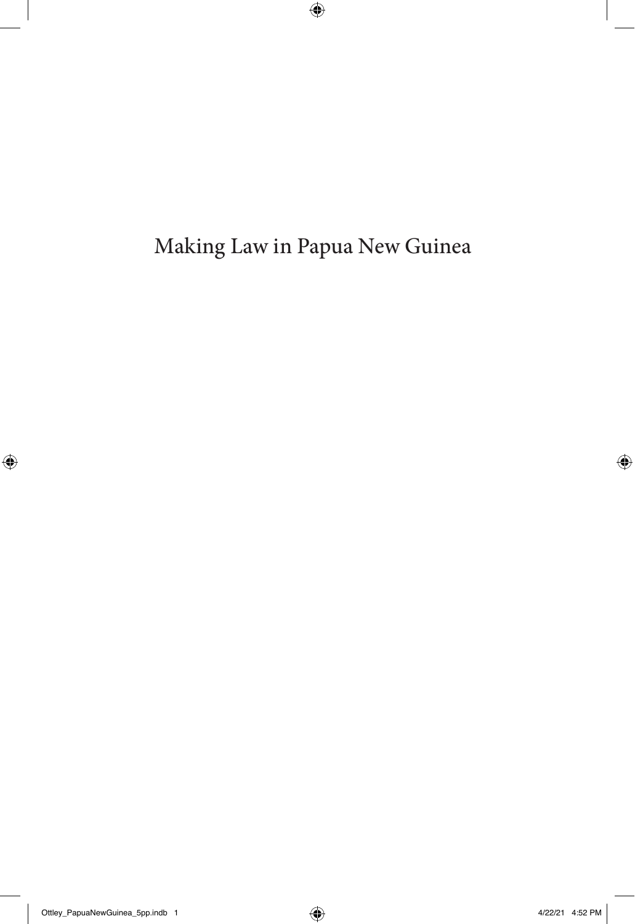Making Law in Papua New Guinea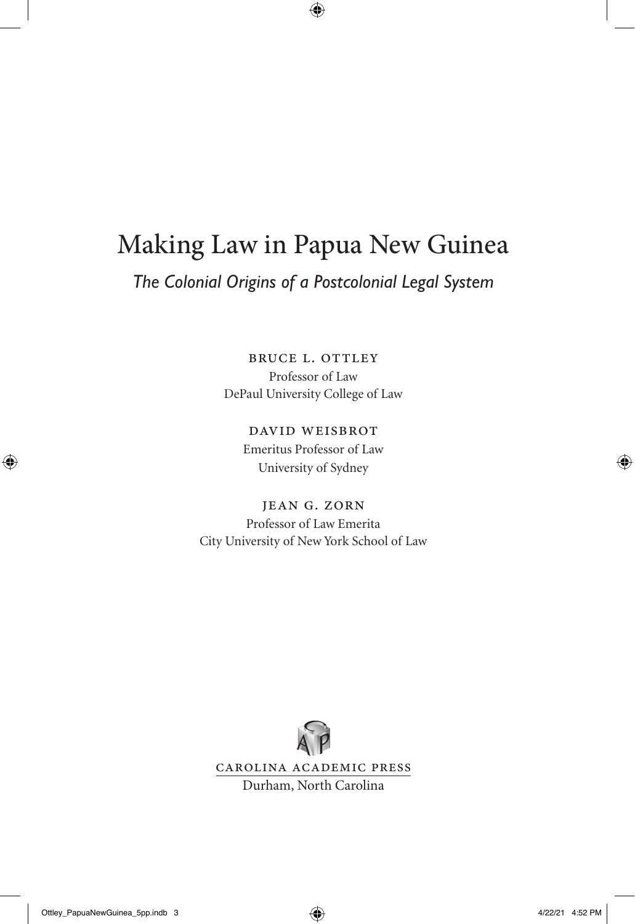# Making Law in Papua New Guinea

### *The Colonial Origins of a Postcolonial Legal System*

BRUCE L. OTTLEY Professor of Law DePaul University College of Law

> David Weisbrot Emeritus Professor of Law University of Sydney

Jean G. Zorn Professor of Law Emerita City University of New York School of Law

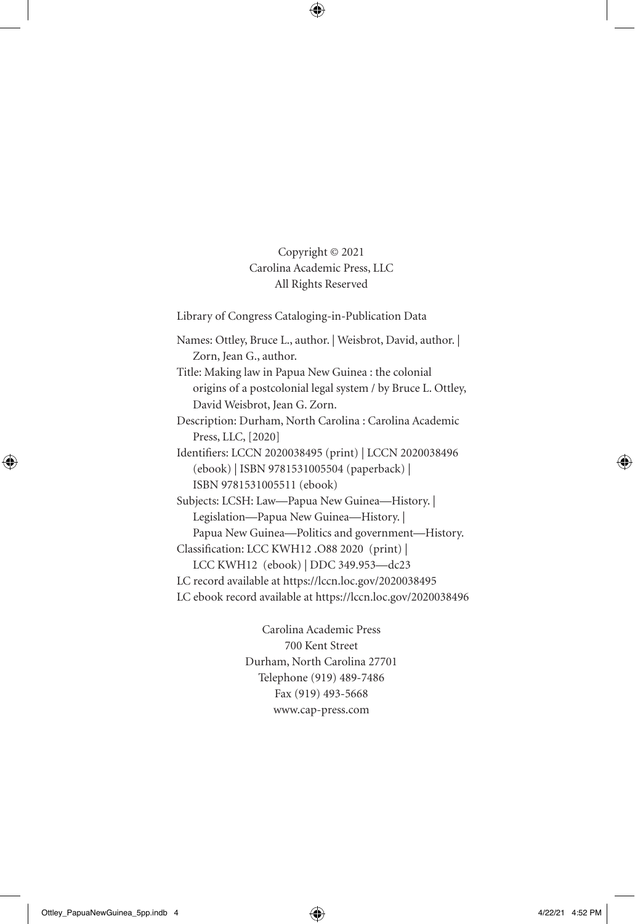Copyright © 2021 Carolina Academic Press, LLC All Rights Reserved

Library of Congress Cataloging-in-Publication Data

Names: Ottley, Bruce L., author. | Weisbrot, David, author. | Zorn, Jean G., author.

Title: Making law in Papua New Guinea : the colonial origins of a postcolonial legal system / by Bruce L. Ottley, David Weisbrot, Jean G. Zorn.

Description: Durham, North Carolina : Carolina Academic Press, LLC, [2020]

Identifiers: LCCN 2020038495 (print) | LCCN 2020038496 (ebook) | ISBN 9781531005504 (paperback) | ISBN 9781531005511 (ebook)

Subjects: LCSH: Law—Papua New Guinea—History. | Legislation—Papua New Guinea—History. | Papua New Guinea—Politics and government—History. Classification: LCC KWH12 .O88 2020 (print) |

LCC KWH12 (ebook) | DDC 349.953—dc23

LC record available at https://lccn.loc.gov/2020038495

LC ebook record available at https://lccn.loc.gov/2020038496

Carolina Academic Press 700 Kent Street Durham, North Carolina 27701 Telephone (919) 489-7486 Fax (919) 493-5668 www.cap-press.com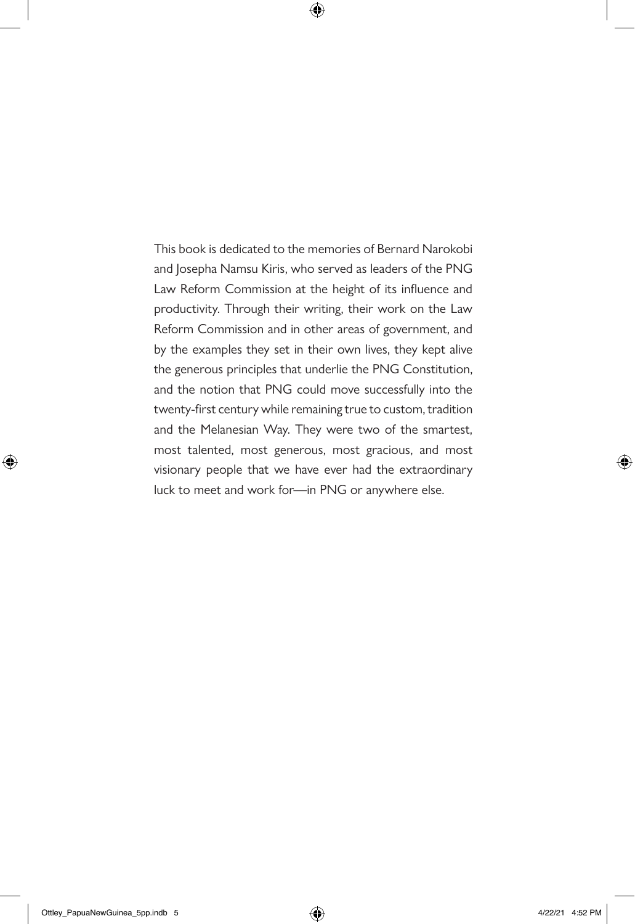This book is dedicated to the memories of Bernard Narokobi and Josepha Namsu Kiris, who served as leaders of the PNG Law Reform Commission at the height of its influence and productivity. Through their writing, their work on the Law Reform Commission and in other areas of government, and by the examples they set in their own lives, they kept alive the generous principles that underlie the PNG Constitution, and the notion that PNG could move successfully into the twenty-first century while remaining true to custom, tradition and the Melanesian Way. They were two of the smartest, most talented, most generous, most gracious, and most visionary people that we have ever had the extraordinary luck to meet and work for—in PNG or anywhere else.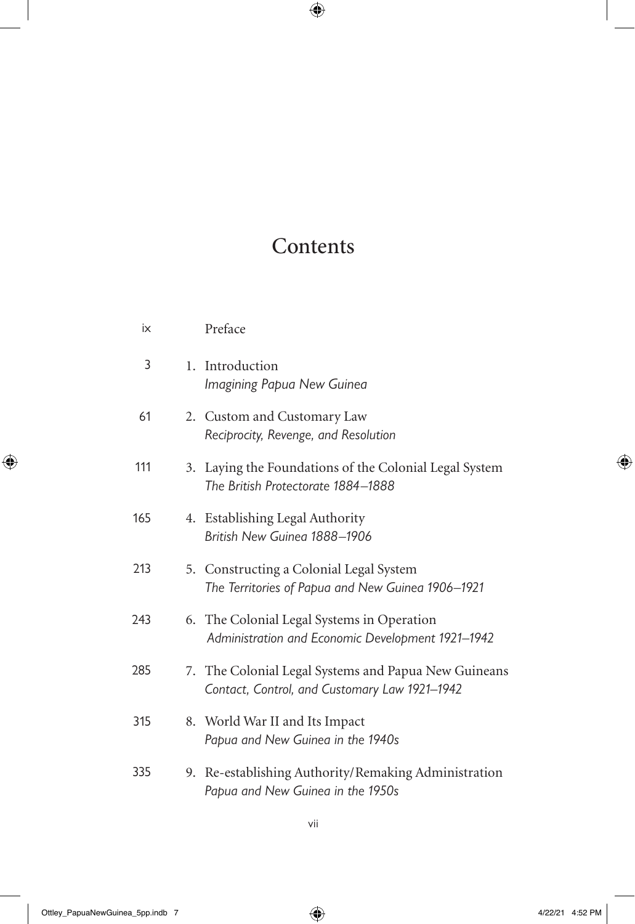# Contents

| ix  |                | Preface                                                                                               |
|-----|----------------|-------------------------------------------------------------------------------------------------------|
| 3   | $\mathbf{1}$ . | Introduction<br>Imagining Papua New Guinea                                                            |
| 61  |                | 2. Custom and Customary Law<br>Reciprocity, Revenge, and Resolution                                   |
| 111 |                | 3. Laying the Foundations of the Colonial Legal System<br>The British Protectorate 1884-1888          |
| 165 | 4.             | Establishing Legal Authority<br>British New Guinea 1888-1906                                          |
| 213 |                | 5. Constructing a Colonial Legal System<br>The Territories of Papua and New Guinea 1906-1921          |
| 243 |                | 6. The Colonial Legal Systems in Operation<br>Administration and Economic Development 1921-1942       |
| 285 |                | 7. The Colonial Legal Systems and Papua New Guineans<br>Contact, Control, and Customary Law 1921-1942 |
| 315 |                | 8. World War II and Its Impact<br>Papua and New Guinea in the 1940s                                   |
| 335 | 9.             | Re-establishing Authority/Remaking Administration<br>Papua and New Guinea in the 1950s                |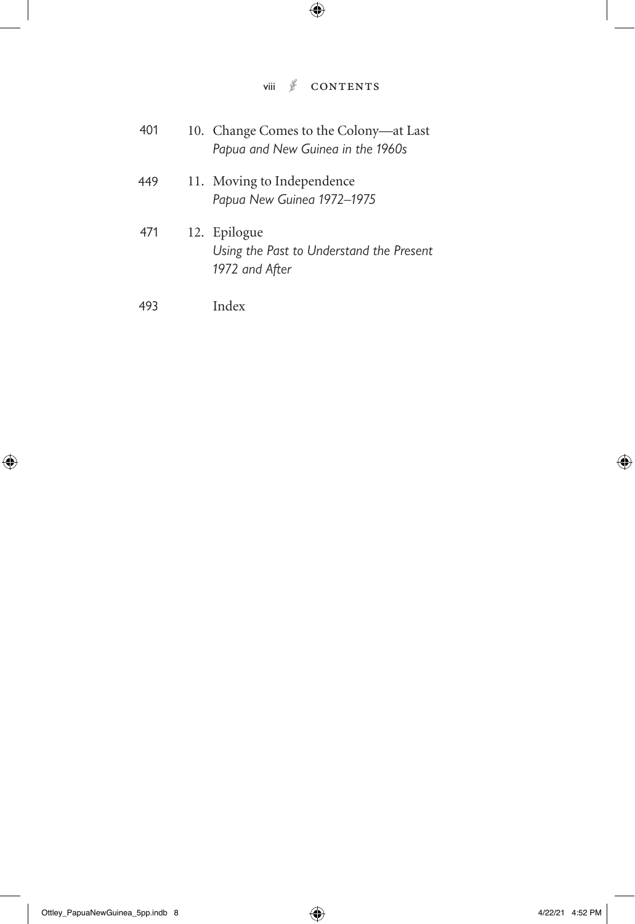#### viii  $\sqrt[6]{}$  CONTENTS

| 401 | 10. Change Comes to the Colony—at Last<br>Papua and New Guinea in the 1960s |
|-----|-----------------------------------------------------------------------------|
| 449 | 11. Moving to Independence<br>Papua New Guinea 1972-1975                    |
| 471 | 12. Epilogue<br>Using the Past to Understand the Present<br>1972 and After  |
| 493 | Index                                                                       |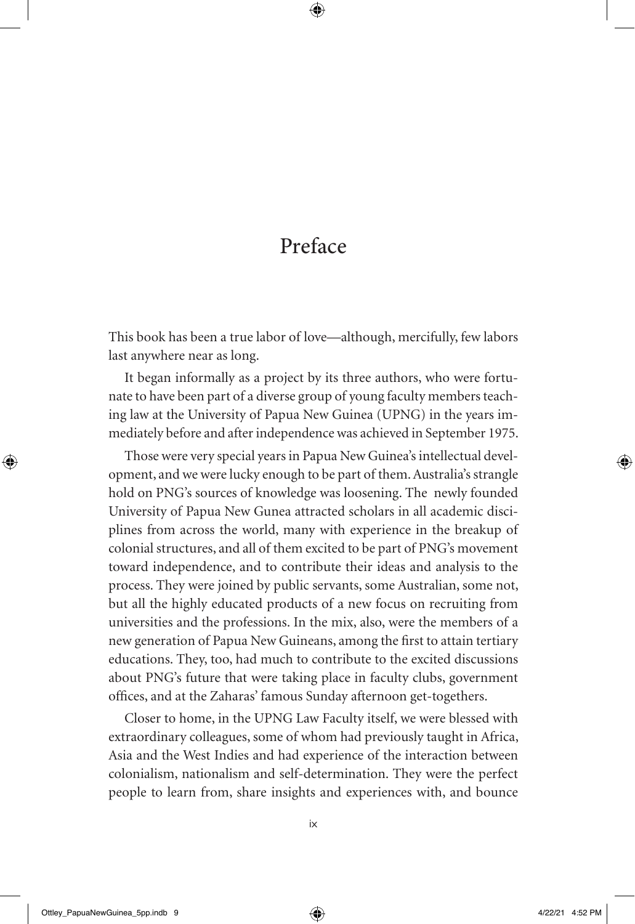## Preface

This book has been a true labor of love—although, mercifully, few labors last anywhere near as long.

It began informally as a project by its three authors, who were fortunate to have been part of a diverse group of young faculty members teaching law at the University of Papua New Guinea (UPNG) in the years immediately before and after independence was achieved in September 1975.

Those were very special years in Papua New Guinea's intellectual development, and we were lucky enough to be part of them. Australia's strangle hold on PNG's sources of knowledge was loosening. The newly founded University of Papua New Gunea attracted scholars in all academic disciplines from across the world, many with experience in the breakup of colonial structures, and all of them excited to be part of PNG's movement toward independence, and to contribute their ideas and analysis to the process. They were joined by public servants, some Australian, some not, but all the highly educated products of a new focus on recruiting from universities and the professions. In the mix, also, were the members of a new generation of Papua New Guineans, among the first to attain tertiary educations. They, too, had much to contribute to the excited discussions about PNG's future that were taking place in faculty clubs, government offices, and at the Zaharas' famous Sunday afternoon get-togethers.

Closer to home, in the UPNG Law Faculty itself, we were blessed with extraordinary colleagues, some of whom had previously taught in Africa, Asia and the West Indies and had experience of the interaction between colonialism, nationalism and self-determination. They were the perfect people to learn from, share insights and experiences with, and bounce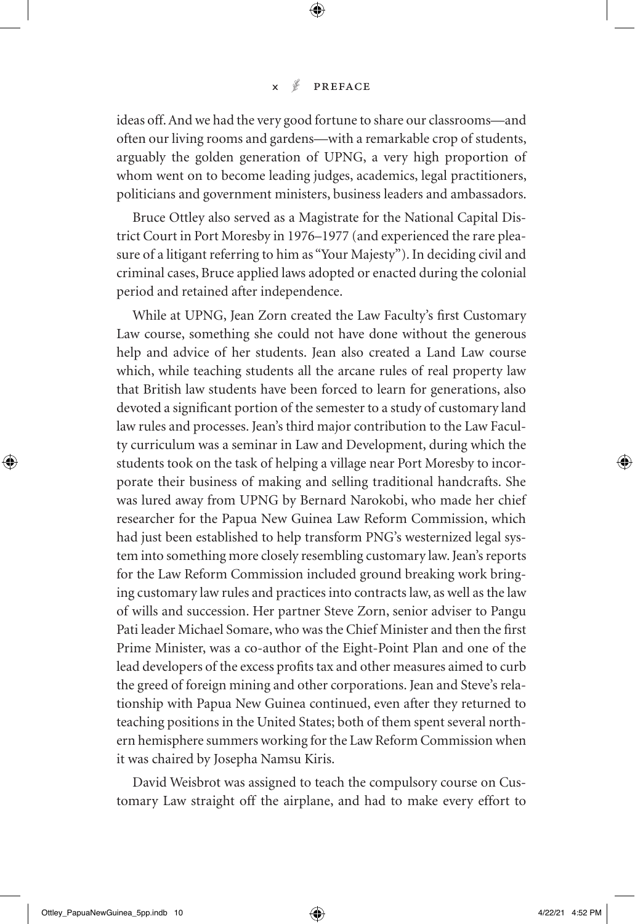ideas off. And we had the very good fortune to share our classrooms—and often our living rooms and gardens—with a remarkable crop of students, arguably the golden generation of UPNG, a very high proportion of whom went on to become leading judges, academics, legal practitioners, politicians and government ministers, business leaders and ambassadors.

Bruce Ottley also served as a Magistrate for the National Capital District Court in Port Moresby in 1976–1977 (and experienced the rare pleasure of a litigant referring to him as "Your Majesty"). In deciding civil and criminal cases, Bruce applied laws adopted or enacted during the colonial period and retained after independence.

While at UPNG, Jean Zorn created the Law Faculty's first Customary Law course, something she could not have done without the generous help and advice of her students. Jean also created a Land Law course which, while teaching students all the arcane rules of real property law that British law students have been forced to learn for generations, also devoted a significant portion of the semester to a study of customary land law rules and processes. Jean's third major contribution to the Law Faculty curriculum was a seminar in Law and Development, during which the students took on the task of helping a village near Port Moresby to incorporate their business of making and selling traditional handcrafts. She was lured away from UPNG by Bernard Narokobi, who made her chief researcher for the Papua New Guinea Law Reform Commission, which had just been established to help transform PNG's westernized legal system into something more closely resembling customary law. Jean's reports for the Law Reform Commission included ground breaking work bringing customary law rules and practices into contracts law, as well as the law of wills and succession. Her partner Steve Zorn, senior adviser to Pangu Pati leader Michael Somare, who was the Chief Minister and then the first Prime Minister, was a co-author of the Eight-Point Plan and one of the lead developers of the excess profits tax and other measures aimed to curb the greed of foreign mining and other corporations. Jean and Steve's relationship with Papua New Guinea continued, even after they returned to teaching positions in the United States; both of them spent several northern hemisphere summers working for the Law Reform Commission when it was chaired by Josepha Namsu Kiris.

David Weisbrot was assigned to teach the compulsory course on Customary Law straight off the airplane, and had to make every effort to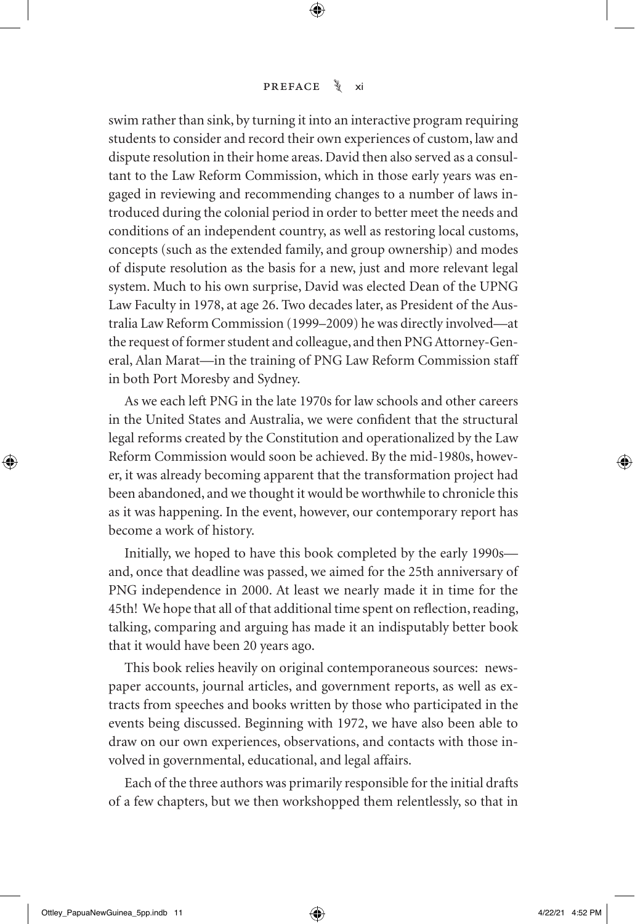swim rather than sink, by turning it into an interactive program requiring students to consider and record their own experiences of custom, law and dispute resolution in their home areas. David then also served as a consultant to the Law Reform Commission, which in those early years was engaged in reviewing and recommending changes to a number of laws introduced during the colonial period in order to better meet the needs and conditions of an independent country, as well as restoring local customs, concepts (such as the extended family, and group ownership) and modes of dispute resolution as the basis for a new, just and more relevant legal system. Much to his own surprise, David was elected Dean of the UPNG Law Faculty in 1978, at age 26. Two decades later, as President of the Australia Law Reform Commission (1999–2009) he was directly involved—at the request of former student and colleague, and then PNG Attorney-General, Alan Marat—in the training of PNG Law Reform Commission staff in both Port Moresby and Sydney.

As we each left PNG in the late 1970s for law schools and other careers in the United States and Australia, we were confident that the structural legal reforms created by the Constitution and operationalized by the Law Reform Commission would soon be achieved. By the mid-1980s, however, it was already becoming apparent that the transformation project had been abandoned, and we thought it would be worthwhile to chronicle this as it was happening. In the event, however, our contemporary report has become a work of history.

Initially, we hoped to have this book completed by the early 1990s and, once that deadline was passed, we aimed for the 25th anniversary of PNG independence in 2000. At least we nearly made it in time for the 45th! We hope that all of that additional time spent on reflection, reading, talking, comparing and arguing has made it an indisputably better book that it would have been 20 years ago.

This book relies heavily on original contemporaneous sources: newspaper accounts, journal articles, and government reports, as well as extracts from speeches and books written by those who participated in the events being discussed. Beginning with 1972, we have also been able to draw on our own experiences, observations, and contacts with those involved in governmental, educational, and legal affairs.

Each of the three authors was primarily responsible for the initial drafts of a few chapters, but we then workshopped them relentlessly, so that in